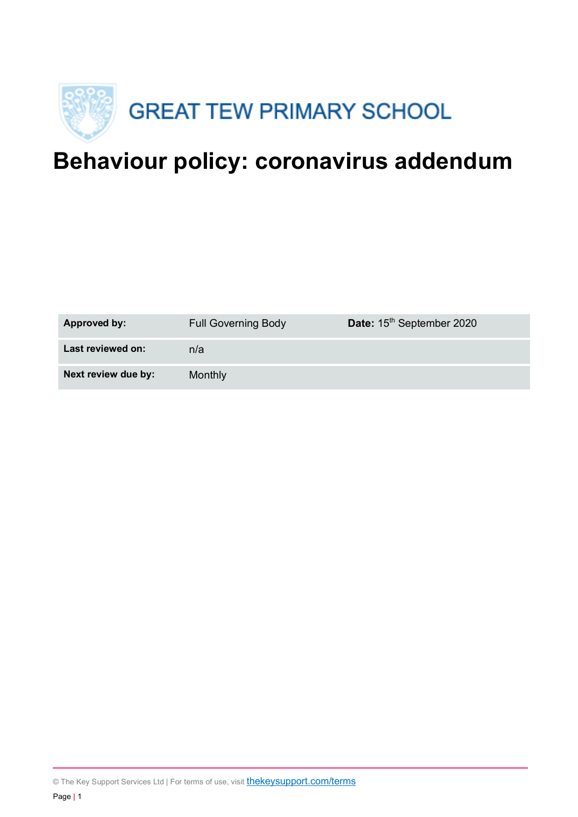

# **Behaviour policy: coronavirus addendum**

| Approved by:        | <b>Full Governing Body</b> | Date: 15 <sup>th</sup> September 2020 |
|---------------------|----------------------------|---------------------------------------|
| Last reviewed on:   | n/a                        |                                       |
| Next review due by: | Monthly                    |                                       |

© The Key Support Services Ltd | For terms of use, visit **thekeysupport.com/terms**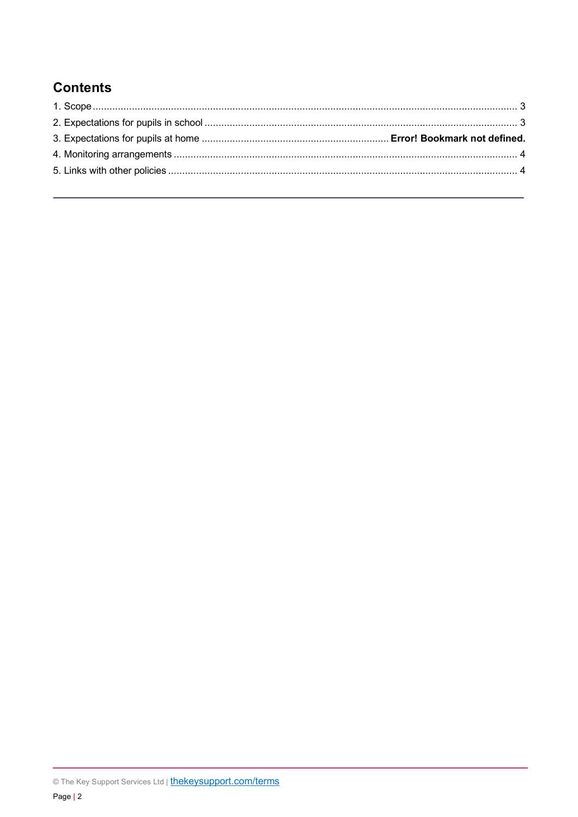## **Contents**

<sup>©</sup> The Key Support Services Ltd | thekeysupport.com/terms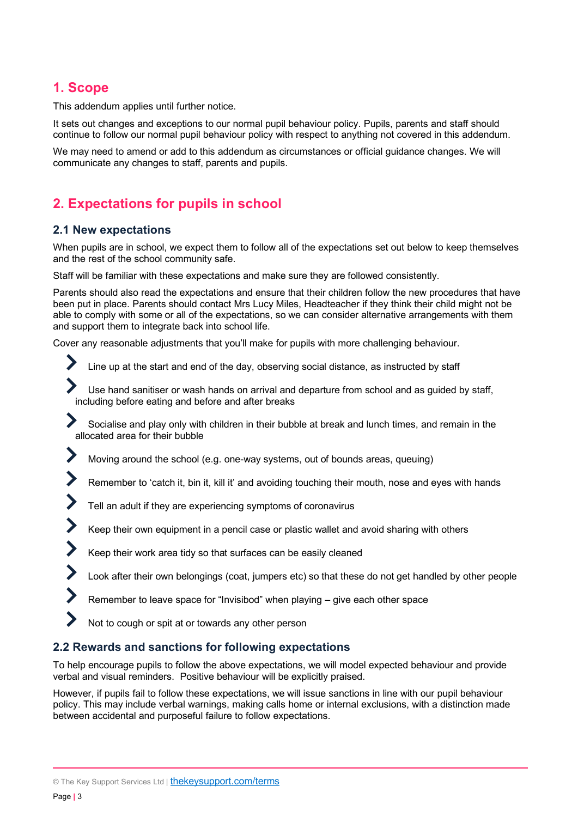### **1. Scope**

This addendum applies until further notice.

It sets out changes and exceptions to our normal pupil behaviour policy. Pupils, parents and staff should continue to follow our normal pupil behaviour policy with respect to anything not covered in this addendum.

We may need to amend or add to this addendum as circumstances or official guidance changes. We will communicate any changes to staff, parents and pupils.

## **2. Expectations for pupils in school**

#### **2.1 New expectations**

When pupils are in school, we expect them to follow all of the expectations set out below to keep themselves and the rest of the school community safe.

Staff will be familiar with these expectations and make sure they are followed consistently.

Parents should also read the expectations and ensure that their children follow the new procedures that have been put in place. Parents should contact Mrs Lucy Miles, Headteacher if they think their child might not be able to comply with some or all of the expectations, so we can consider alternative arrangements with them and support them to integrate back into school life.

Cover any reasonable adjustments that you'll make for pupils with more challenging behaviour.

- Line up at the start and end of the day, observing social distance, as instructed by staff
- Use hand sanitiser or wash hands on arrival and departure from school and as guided by staff, including before eating and before and after breaks
- Socialise and play only with children in their bubble at break and lunch times, and remain in the allocated area for their bubble
- Moving around the school (e.g. one-way systems, out of bounds areas, queuing)
- Remember to 'catch it, bin it, kill it' and avoiding touching their mouth, nose and eyes with hands
- Tell an adult if they are experiencing symptoms of coronavirus
- Keep their own equipment in a pencil case or plastic wallet and avoid sharing with others
- Keep their work area tidy so that surfaces can be easily cleaned
- Look after their own belongings (coat, jumpers etc) so that these do not get handled by other people
- Remember to leave space for "Invisibod" when playing give each other space
- Not to cough or spit at or towards any other person

#### **2.2 Rewards and sanctions for following expectations**

To help encourage pupils to follow the above expectations, we will model expected behaviour and provide verbal and visual reminders. Positive behaviour will be explicitly praised.

However, if pupils fail to follow these expectations, we will issue sanctions in line with our pupil behaviour policy. This may include verbal warnings, making calls home or internal exclusions, with a distinction made between accidental and purposeful failure to follow expectations.

 $\blacktriangleright$ 

 $\blacktriangleright$ 

 $\blacktriangleright$ 

<sup>©</sup> The Key Support Services Ltd | thekeysupport.com/terms